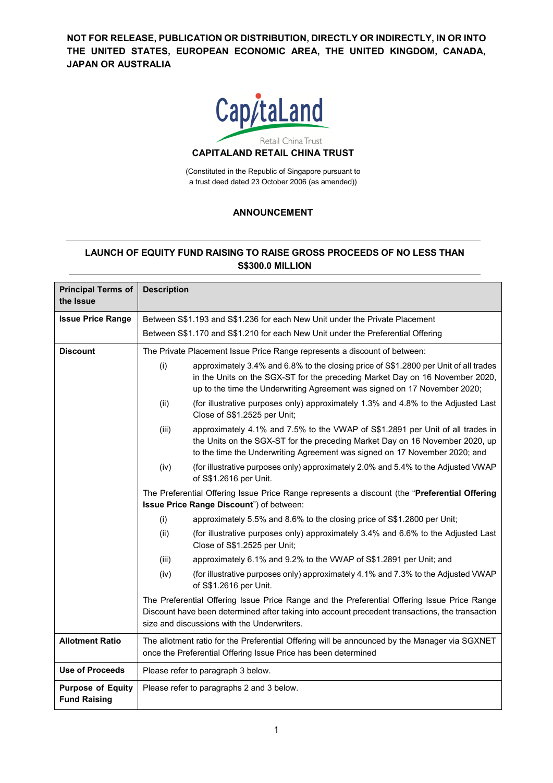**NOT FOR RELEASE, PUBLICATION OR DISTRIBUTION, DIRECTLY OR INDIRECTLY, IN OR INTO THE UNITED STATES, EUROPEAN ECONOMIC AREA, THE UNITED KINGDOM, CANADA, JAPAN OR AUSTRALIA**



(Constituted in the Republic of Singapore pursuant to a trust deed dated 23 October 2006 (as amended))

# **ANNOUNCEMENT**

# **LAUNCH OF EQUITY FUND RAISING TO RAISE GROSS PROCEEDS OF NO LESS THAN S\$300.0 MILLION**

| <b>Principal Terms of</b><br>the Issue          | <b>Description</b>                                                                                                                                                                                                                            |                                                                                                                                                                                                                                                   |
|-------------------------------------------------|-----------------------------------------------------------------------------------------------------------------------------------------------------------------------------------------------------------------------------------------------|---------------------------------------------------------------------------------------------------------------------------------------------------------------------------------------------------------------------------------------------------|
| <b>Issue Price Range</b>                        | Between S\$1.193 and S\$1.236 for each New Unit under the Private Placement                                                                                                                                                                   |                                                                                                                                                                                                                                                   |
|                                                 | Between S\$1.170 and S\$1.210 for each New Unit under the Preferential Offering                                                                                                                                                               |                                                                                                                                                                                                                                                   |
| <b>Discount</b>                                 | The Private Placement Issue Price Range represents a discount of between:                                                                                                                                                                     |                                                                                                                                                                                                                                                   |
|                                                 | (i)                                                                                                                                                                                                                                           | approximately 3.4% and 6.8% to the closing price of S\$1.2800 per Unit of all trades<br>in the Units on the SGX-ST for the preceding Market Day on 16 November 2020,<br>up to the time the Underwriting Agreement was signed on 17 November 2020; |
|                                                 | (ii)                                                                                                                                                                                                                                          | (for illustrative purposes only) approximately 1.3% and 4.8% to the Adjusted Last<br>Close of S\$1.2525 per Unit;                                                                                                                                 |
|                                                 | (iii)                                                                                                                                                                                                                                         | approximately 4.1% and 7.5% to the VWAP of S\$1.2891 per Unit of all trades in<br>the Units on the SGX-ST for the preceding Market Day on 16 November 2020, up<br>to the time the Underwriting Agreement was signed on 17 November 2020; and      |
|                                                 | (iv)                                                                                                                                                                                                                                          | (for illustrative purposes only) approximately 2.0% and 5.4% to the Adjusted VWAP<br>of S\$1.2616 per Unit.                                                                                                                                       |
|                                                 | The Preferential Offering Issue Price Range represents a discount (the "Preferential Offering<br>Issue Price Range Discount") of between:                                                                                                     |                                                                                                                                                                                                                                                   |
|                                                 | (i)                                                                                                                                                                                                                                           | approximately 5.5% and 8.6% to the closing price of S\$1.2800 per Unit;                                                                                                                                                                           |
|                                                 | (ii)                                                                                                                                                                                                                                          | (for illustrative purposes only) approximately 3.4% and 6.6% to the Adjusted Last<br>Close of S\$1.2525 per Unit;                                                                                                                                 |
|                                                 | (iii)                                                                                                                                                                                                                                         | approximately 6.1% and 9.2% to the VWAP of S\$1.2891 per Unit; and                                                                                                                                                                                |
|                                                 | (iv)                                                                                                                                                                                                                                          | (for illustrative purposes only) approximately 4.1% and 7.3% to the Adjusted VWAP<br>of S\$1.2616 per Unit.                                                                                                                                       |
|                                                 | The Preferential Offering Issue Price Range and the Preferential Offering Issue Price Range<br>Discount have been determined after taking into account precedent transactions, the transaction<br>size and discussions with the Underwriters. |                                                                                                                                                                                                                                                   |
| <b>Allotment Ratio</b>                          | The allotment ratio for the Preferential Offering will be announced by the Manager via SGXNET<br>once the Preferential Offering Issue Price has been determined                                                                               |                                                                                                                                                                                                                                                   |
| <b>Use of Proceeds</b>                          | Please refer to paragraph 3 below.                                                                                                                                                                                                            |                                                                                                                                                                                                                                                   |
| <b>Purpose of Equity</b><br><b>Fund Raising</b> | Please refer to paragraphs 2 and 3 below.                                                                                                                                                                                                     |                                                                                                                                                                                                                                                   |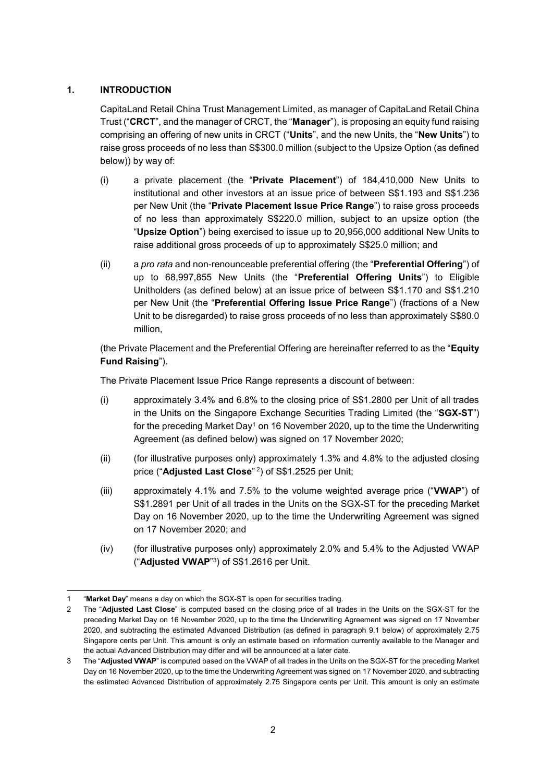## **1. INTRODUCTION**

CapitaLand Retail China Trust Management Limited, as manager of CapitaLand Retail China Trust ("**CRCT**", and the manager of CRCT, the "**Manager**"), is proposing an equity fund raising comprising an offering of new units in CRCT ("**Units**", and the new Units, the "**New Units**") to raise gross proceeds of no less than S\$300.0 million (subject to the Upsize Option (as defined below)) by way of:

- (i) a private placement (the "**Private Placement**") of 184,410,000 New Units to institutional and other investors at an issue price of between S\$1.193 and S\$1.236 per New Unit (the "**Private Placement Issue Price Range**") to raise gross proceeds of no less than approximately S\$220.0 million, subject to an upsize option (the "**Upsize Option**") being exercised to issue up to 20,956,000 additional New Units to raise additional gross proceeds of up to approximately S\$25.0 million; and
- (ii) a *pro rata* and non-renounceable preferential offering (the "**Preferential Offering**") of up to 68,997,855 New Units (the "**Preferential Offering Units**") to Eligible Unitholders (as defined below) at an issue price of between S\$1.170 and S\$1.210 per New Unit (the "**Preferential Offering Issue Price Range**") (fractions of a New Unit to be disregarded) to raise gross proceeds of no less than approximately S\$80.0 million,

(the Private Placement and the Preferential Offering are hereinafter referred to as the "**Equity Fund Raising**").

The Private Placement Issue Price Range represents a discount of between:

- (i) approximately 3.4% and 6.8% to the closing price of S\$1.2800 per Unit of all trades in the Units on the Singapore Exchange Securities Trading Limited (the "**SGX-ST**") for the preceding Market Day<sup>1</sup> on 16 November 2020, up to the time the Underwriting Agreement (as defined below) was signed on 17 November 2020;
- (ii) (for illustrative purposes only) approximately 1.3% and 4.8% to the adjusted closing price ("**Adjusted Last Close**" 2 ) of S\$1.2525 per Unit;
- (iii) approximately 4.1% and 7.5% to the volume weighted average price ("**VWAP**") of S\$1.2891 per Unit of all trades in the Units on the SGX-ST for the preceding Market Day on 16 November 2020, up to the time the Underwriting Agreement was signed on 17 November 2020; and
- (iv) (for illustrative purposes only) approximately 2.0% and 5.4% to the Adjusted VWAP ("**Adjusted VWAP**" 3 ) of S\$1.2616 per Unit.

<sup>-</sup>1 "**Market Day**" means a day on which the SGX-ST is open for securities trading.

<sup>2</sup> The "**Adjusted Last Close**" is computed based on the closing price of all trades in the Units on the SGX-ST for the preceding Market Day on 16 November 2020, up to the time the Underwriting Agreement was signed on 17 November 2020, and subtracting the estimated Advanced Distribution (as defined in paragraph 9.1 below) of approximately 2.75 Singapore cents per Unit. This amount is only an estimate based on information currently available to the Manager and the actual Advanced Distribution may differ and will be announced at a later date.

<sup>3</sup> The "**Adjusted VWAP**" is computed based on the VWAP of all trades in the Units on the SGX-ST for the preceding Market Day on 16 November 2020, up to the time the Underwriting Agreement was signed on 17 November 2020, and subtracting the estimated Advanced Distribution of approximately 2.75 Singapore cents per Unit. This amount is only an estimate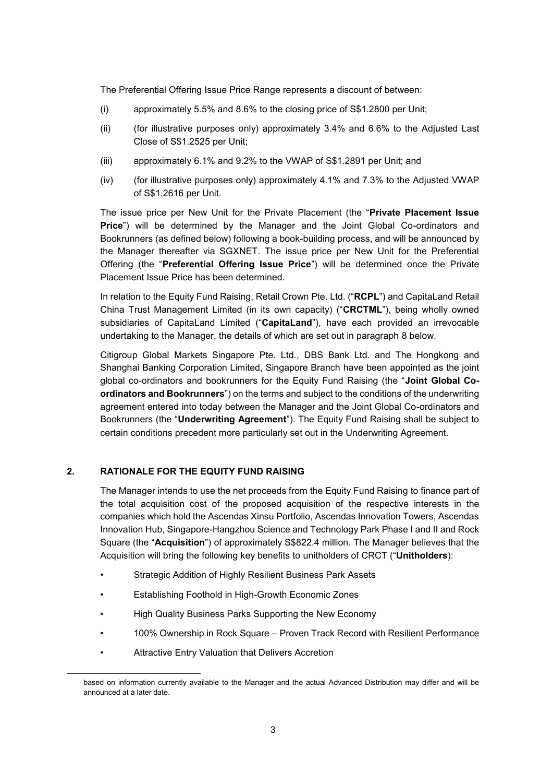The Preferential Offering Issue Price Range represents a discount of between:

- (i) approximately 5.5% and 8.6% to the closing price of S\$1.2800 per Unit;
- (ii) (for illustrative purposes only) approximately 3.4% and 6.6% to the Adjusted Last Close of S\$1.2525 per Unit;
- (iii) approximately 6.1% and 9.2% to the VWAP of S\$1.2891 per Unit; and
- (iv) (for illustrative purposes only) approximately 4.1% and 7.3% to the Adjusted VWAP of S\$1.2616 per Unit.

The issue price per New Unit for the Private Placement (the "**Private Placement Issue Price**") will be determined by the Manager and the Joint Global Co-ordinators and Bookrunners (as defined below) following a book-building process, and will be announced by the Manager thereafter via SGXNET. The issue price per New Unit for the Preferential Offering (the "**Preferential Offering Issue Price**") will be determined once the Private Placement Issue Price has been determined.

In relation to the Equity Fund Raising, Retail Crown Pte. Ltd. ("**RCPL**") and CapitaLand Retail China Trust Management Limited (in its own capacity) ("**CRCTML**"), being wholly owned subsidiaries of CapitaLand Limited ("**CapitaLand**"), have each provided an irrevocable undertaking to the Manager, the details of which are set out in paragraph 8 below.

Citigroup Global Markets Singapore Pte. Ltd., DBS Bank Ltd. and The Hongkong and Shanghai Banking Corporation Limited, Singapore Branch have been appointed as the joint global co-ordinators and bookrunners for the Equity Fund Raising (the "**Joint Global Coordinators and Bookrunners**") on the terms and subject to the conditions of the underwriting agreement entered into today between the Manager and the Joint Global Co-ordinators and Bookrunners (the "**Underwriting Agreement**"). The Equity Fund Raising shall be subject to certain conditions precedent more particularly set out in the Underwriting Agreement.

#### **2. RATIONALE FOR THE EQUITY FUND RAISING**

The Manager intends to use the net proceeds from the Equity Fund Raising to finance part of the total acquisition cost of the proposed acquisition of the respective interests in the companies which hold the Ascendas Xinsu Portfolio, Ascendas Innovation Towers, Ascendas Innovation Hub, Singapore-Hangzhou Science and Technology Park Phase I and II and Rock Square (the "**Acquisition**") of approximately S\$822.4 million. The Manager believes that the Acquisition will bring the following key benefits to unitholders of CRCT ("**Unitholders**):

- Strategic Addition of Highly Resilient Business Park Assets
- Establishing Foothold in High-Growth Economic Zones
- High Quality Business Parks Supporting the New Economy
- 100% Ownership in Rock Square Proven Track Record with Resilient Performance
- Attractive Entry Valuation that Delivers Accretion

-

based on information currently available to the Manager and the actual Advanced Distribution may differ and will be announced at a later date.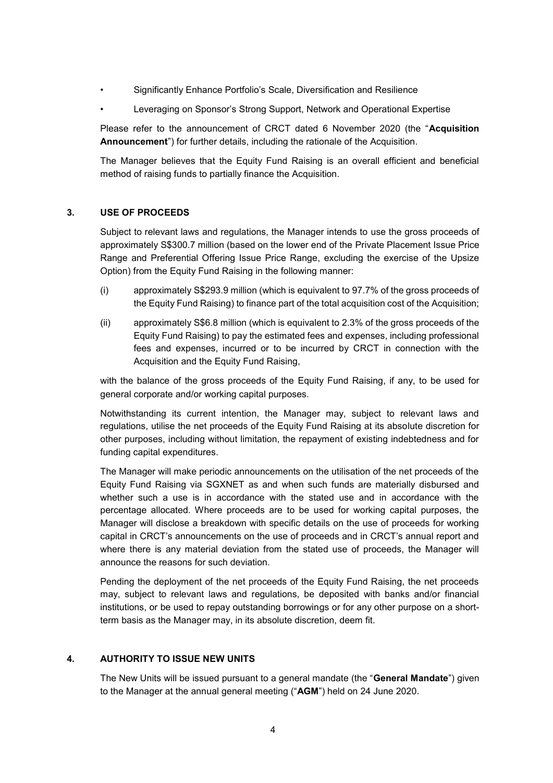- Significantly Enhance Portfolio's Scale, Diversification and Resilience
- Leveraging on Sponsor's Strong Support, Network and Operational Expertise

Please refer to the announcement of CRCT dated 6 November 2020 (the "**Acquisition Announcement**") for further details, including the rationale of the Acquisition.

The Manager believes that the Equity Fund Raising is an overall efficient and beneficial method of raising funds to partially finance the Acquisition.

## **3. USE OF PROCEEDS**

Subject to relevant laws and regulations, the Manager intends to use the gross proceeds of approximately S\$300.7 million (based on the lower end of the Private Placement Issue Price Range and Preferential Offering Issue Price Range, excluding the exercise of the Upsize Option) from the Equity Fund Raising in the following manner:

- (i) approximately S\$293.9 million (which is equivalent to 97.7% of the gross proceeds of the Equity Fund Raising) to finance part of the total acquisition cost of the Acquisition;
- (ii) approximately S\$6.8 million (which is equivalent to 2.3% of the gross proceeds of the Equity Fund Raising) to pay the estimated fees and expenses, including professional fees and expenses, incurred or to be incurred by CRCT in connection with the Acquisition and the Equity Fund Raising,

with the balance of the gross proceeds of the Equity Fund Raising, if any, to be used for general corporate and/or working capital purposes.

Notwithstanding its current intention, the Manager may, subject to relevant laws and regulations, utilise the net proceeds of the Equity Fund Raising at its absolute discretion for other purposes, including without limitation, the repayment of existing indebtedness and for funding capital expenditures.

The Manager will make periodic announcements on the utilisation of the net proceeds of the Equity Fund Raising via SGXNET as and when such funds are materially disbursed and whether such a use is in accordance with the stated use and in accordance with the percentage allocated. Where proceeds are to be used for working capital purposes, the Manager will disclose a breakdown with specific details on the use of proceeds for working capital in CRCT's announcements on the use of proceeds and in CRCT's annual report and where there is any material deviation from the stated use of proceeds, the Manager will announce the reasons for such deviation.

Pending the deployment of the net proceeds of the Equity Fund Raising, the net proceeds may, subject to relevant laws and regulations, be deposited with banks and/or financial institutions, or be used to repay outstanding borrowings or for any other purpose on a shortterm basis as the Manager may, in its absolute discretion, deem fit.

#### **4. AUTHORITY TO ISSUE NEW UNITS**

The New Units will be issued pursuant to a general mandate (the "**General Mandate**") given to the Manager at the annual general meeting ("**AGM**") held on 24 June 2020.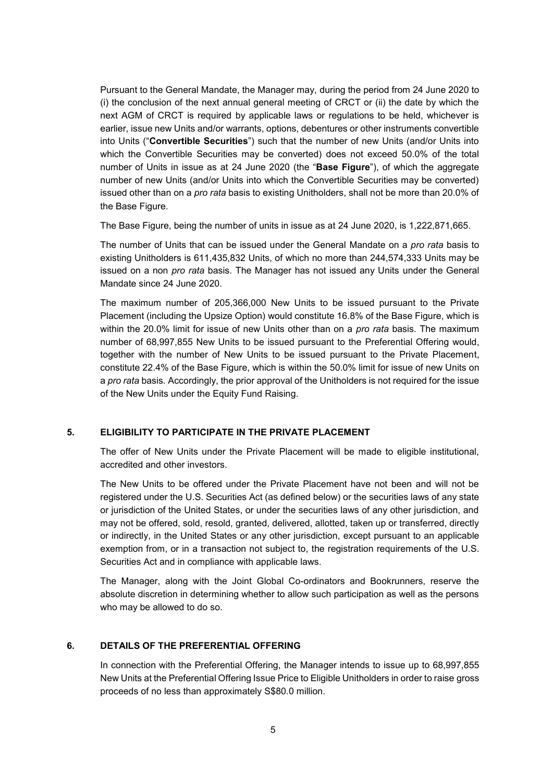Pursuant to the General Mandate, the Manager may, during the period from 24 June 2020 to (i) the conclusion of the next annual general meeting of CRCT or (ii) the date by which the next AGM of CRCT is required by applicable laws or regulations to be held, whichever is earlier, issue new Units and/or warrants, options, debentures or other instruments convertible into Units ("**Convertible Securities**") such that the number of new Units (and/or Units into which the Convertible Securities may be converted) does not exceed 50.0% of the total number of Units in issue as at 24 June 2020 (the "**Base Figure**"), of which the aggregate number of new Units (and/or Units into which the Convertible Securities may be converted) issued other than on a *pro rata* basis to existing Unitholders, shall not be more than 20.0% of the Base Figure.

The Base Figure, being the number of units in issue as at 24 June 2020, is 1,222,871,665.

The number of Units that can be issued under the General Mandate on a *pro rata* basis to existing Unitholders is 611,435,832 Units, of which no more than 244,574,333 Units may be issued on a non *pro rata* basis. The Manager has not issued any Units under the General Mandate since 24 June 2020.

The maximum number of 205,366,000 New Units to be issued pursuant to the Private Placement (including the Upsize Option) would constitute 16.8% of the Base Figure, which is within the 20.0% limit for issue of new Units other than on a *pro rata* basis. The maximum number of 68,997,855 New Units to be issued pursuant to the Preferential Offering would, together with the number of New Units to be issued pursuant to the Private Placement, constitute 22.4% of the Base Figure, which is within the 50.0% limit for issue of new Units on a *pro rata* basis. Accordingly, the prior approval of the Unitholders is not required for the issue of the New Units under the Equity Fund Raising.

#### **5. ELIGIBILITY TO PARTICIPATE IN THE PRIVATE PLACEMENT**

The offer of New Units under the Private Placement will be made to eligible institutional, accredited and other investors.

The New Units to be offered under the Private Placement have not been and will not be registered under the U.S. Securities Act (as defined below) or the securities laws of any state or jurisdiction of the United States, or under the securities laws of any other jurisdiction, and may not be offered, sold, resold, granted, delivered, allotted, taken up or transferred, directly or indirectly, in the United States or any other jurisdiction, except pursuant to an applicable exemption from, or in a transaction not subject to, the registration requirements of the U.S. Securities Act and in compliance with applicable laws.

The Manager, along with the Joint Global Co-ordinators and Bookrunners, reserve the absolute discretion in determining whether to allow such participation as well as the persons who may be allowed to do so.

#### **6. DETAILS OF THE PREFERENTIAL OFFERING**

In connection with the Preferential Offering, the Manager intends to issue up to 68,997,855 New Units at the Preferential Offering Issue Price to Eligible Unitholders in order to raise gross proceeds of no less than approximately S\$80.0 million.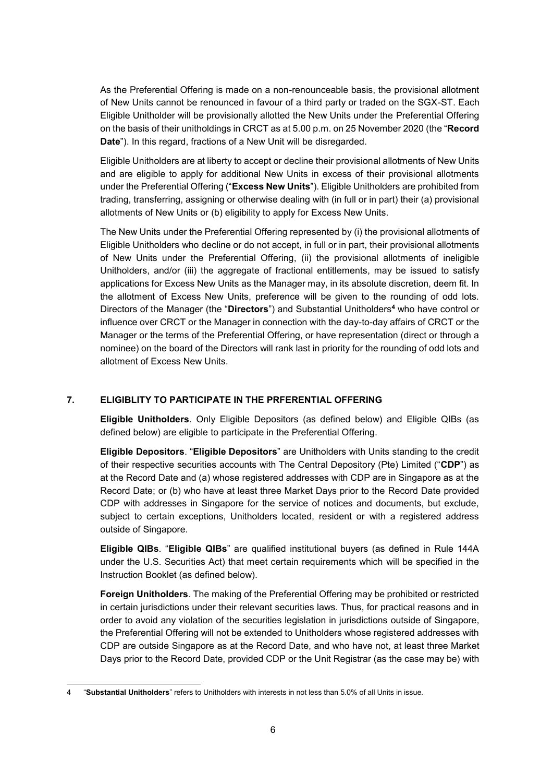As the Preferential Offering is made on a non-renounceable basis, the provisional allotment of New Units cannot be renounced in favour of a third party or traded on the SGX-ST. Each Eligible Unitholder will be provisionally allotted the New Units under the Preferential Offering on the basis of their unitholdings in CRCT as at 5.00 p.m. on 25 November 2020 (the "**Record Date**"). In this regard, fractions of a New Unit will be disregarded.

Eligible Unitholders are at liberty to accept or decline their provisional allotments of New Units and are eligible to apply for additional New Units in excess of their provisional allotments under the Preferential Offering ("**Excess New Units**"). Eligible Unitholders are prohibited from trading, transferring, assigning or otherwise dealing with (in full or in part) their (a) provisional allotments of New Units or (b) eligibility to apply for Excess New Units.

The New Units under the Preferential Offering represented by (i) the provisional allotments of Eligible Unitholders who decline or do not accept, in full or in part, their provisional allotments of New Units under the Preferential Offering, (ii) the provisional allotments of ineligible Unitholders, and/or (iii) the aggregate of fractional entitlements, may be issued to satisfy applications for Excess New Units as the Manager may, in its absolute discretion, deem fit. In the allotment of Excess New Units, preference will be given to the rounding of odd lots. Directors of the Manager (the "**Directors**") and Substantial Unitholders**<sup>4</sup>** who have control or influence over CRCT or the Manager in connection with the day-to-day affairs of CRCT or the Manager or the terms of the Preferential Offering, or have representation (direct or through a nominee) on the board of the Directors will rank last in priority for the rounding of odd lots and allotment of Excess New Units.

# **7. ELIGIBLITY TO PARTICIPATE IN THE PRFERENTIAL OFFERING**

**Eligible Unitholders**. Only Eligible Depositors (as defined below) and Eligible QIBs (as defined below) are eligible to participate in the Preferential Offering.

**Eligible Depositors**. "**Eligible Depositors**" are Unitholders with Units standing to the credit of their respective securities accounts with The Central Depository (Pte) Limited ("**CDP**") as at the Record Date and (a) whose registered addresses with CDP are in Singapore as at the Record Date; or (b) who have at least three Market Days prior to the Record Date provided CDP with addresses in Singapore for the service of notices and documents, but exclude, subject to certain exceptions, Unitholders located, resident or with a registered address outside of Singapore.

**Eligible QIBs**. "**Eligible QIBs**" are qualified institutional buyers (as defined in Rule 144A under the U.S. Securities Act) that meet certain requirements which will be specified in the Instruction Booklet (as defined below).

**Foreign Unitholders**. The making of the Preferential Offering may be prohibited or restricted in certain jurisdictions under their relevant securities laws. Thus, for practical reasons and in order to avoid any violation of the securities legislation in jurisdictions outside of Singapore, the Preferential Offering will not be extended to Unitholders whose registered addresses with CDP are outside Singapore as at the Record Date, and who have not, at least three Market Days prior to the Record Date, provided CDP or the Unit Registrar (as the case may be) with

<sup>-</sup>4 "**Substantial Unitholders**" refers to Unitholders with interests in not less than 5.0% of all Units in issue.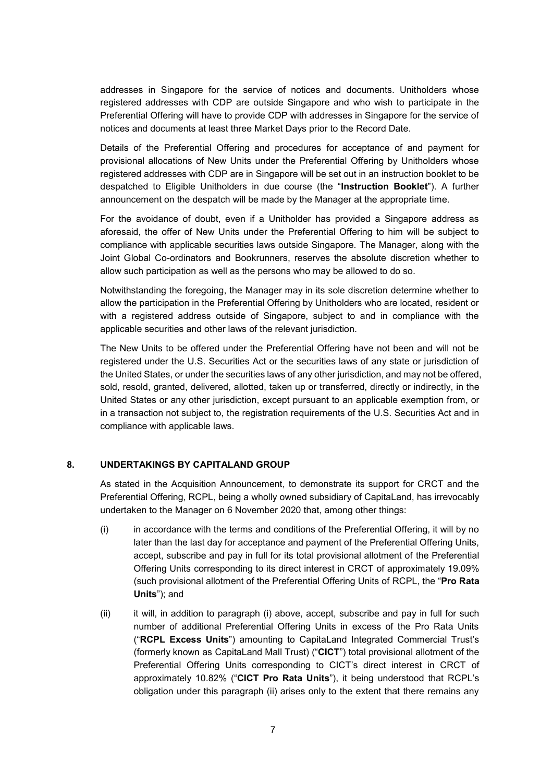addresses in Singapore for the service of notices and documents. Unitholders whose registered addresses with CDP are outside Singapore and who wish to participate in the Preferential Offering will have to provide CDP with addresses in Singapore for the service of notices and documents at least three Market Days prior to the Record Date.

Details of the Preferential Offering and procedures for acceptance of and payment for provisional allocations of New Units under the Preferential Offering by Unitholders whose registered addresses with CDP are in Singapore will be set out in an instruction booklet to be despatched to Eligible Unitholders in due course (the "**Instruction Booklet**"). A further announcement on the despatch will be made by the Manager at the appropriate time.

For the avoidance of doubt, even if a Unitholder has provided a Singapore address as aforesaid, the offer of New Units under the Preferential Offering to him will be subject to compliance with applicable securities laws outside Singapore. The Manager, along with the Joint Global Co-ordinators and Bookrunners, reserves the absolute discretion whether to allow such participation as well as the persons who may be allowed to do so.

Notwithstanding the foregoing, the Manager may in its sole discretion determine whether to allow the participation in the Preferential Offering by Unitholders who are located, resident or with a registered address outside of Singapore, subject to and in compliance with the applicable securities and other laws of the relevant jurisdiction.

The New Units to be offered under the Preferential Offering have not been and will not be registered under the U.S. Securities Act or the securities laws of any state or jurisdiction of the United States, or under the securities laws of any other jurisdiction, and may not be offered, sold, resold, granted, delivered, allotted, taken up or transferred, directly or indirectly, in the United States or any other jurisdiction, except pursuant to an applicable exemption from, or in a transaction not subject to, the registration requirements of the U.S. Securities Act and in compliance with applicable laws.

#### **8. UNDERTAKINGS BY CAPITALAND GROUP**

As stated in the Acquisition Announcement, to demonstrate its support for CRCT and the Preferential Offering, RCPL, being a wholly owned subsidiary of CapitaLand, has irrevocably undertaken to the Manager on 6 November 2020 that, among other things:

- (i) in accordance with the terms and conditions of the Preferential Offering, it will by no later than the last day for acceptance and payment of the Preferential Offering Units, accept, subscribe and pay in full for its total provisional allotment of the Preferential Offering Units corresponding to its direct interest in CRCT of approximately 19.09% (such provisional allotment of the Preferential Offering Units of RCPL, the "**Pro Rata Units**"); and
- (ii) it will, in addition to paragraph (i) above, accept, subscribe and pay in full for such number of additional Preferential Offering Units in excess of the Pro Rata Units ("**RCPL Excess Units**") amounting to CapitaLand Integrated Commercial Trust's (formerly known as CapitaLand Mall Trust) ("**CICT**") total provisional allotment of the Preferential Offering Units corresponding to CICT's direct interest in CRCT of approximately 10.82% ("**CICT Pro Rata Units**"), it being understood that RCPL's obligation under this paragraph (ii) arises only to the extent that there remains any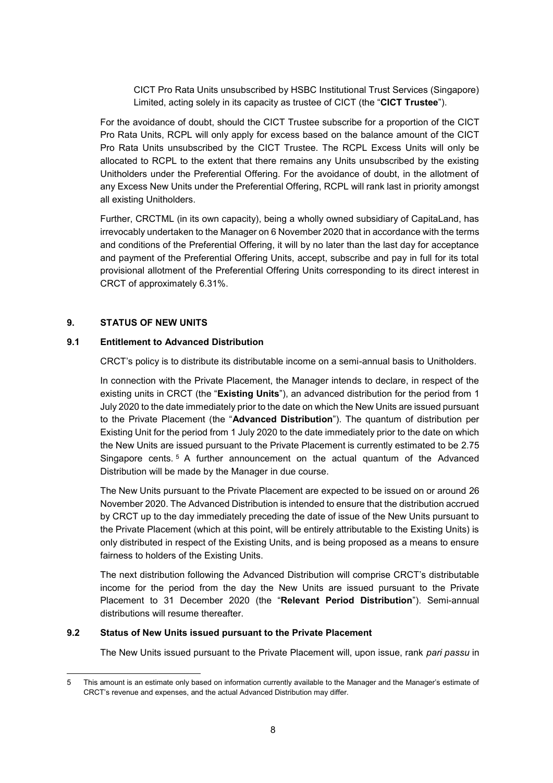CICT Pro Rata Units unsubscribed by HSBC Institutional Trust Services (Singapore) Limited, acting solely in its capacity as trustee of CICT (the "**CICT Trustee**").

For the avoidance of doubt, should the CICT Trustee subscribe for a proportion of the CICT Pro Rata Units, RCPL will only apply for excess based on the balance amount of the CICT Pro Rata Units unsubscribed by the CICT Trustee. The RCPL Excess Units will only be allocated to RCPL to the extent that there remains any Units unsubscribed by the existing Unitholders under the Preferential Offering. For the avoidance of doubt, in the allotment of any Excess New Units under the Preferential Offering, RCPL will rank last in priority amongst all existing Unitholders.

Further, CRCTML (in its own capacity), being a wholly owned subsidiary of CapitaLand, has irrevocably undertaken to the Manager on 6 November 2020 that in accordance with the terms and conditions of the Preferential Offering, it will by no later than the last day for acceptance and payment of the Preferential Offering Units, accept, subscribe and pay in full for its total provisional allotment of the Preferential Offering Units corresponding to its direct interest in CRCT of approximately 6.31%.

#### **9. STATUS OF NEW UNITS**

#### **9.1 Entitlement to Advanced Distribution**

CRCT's policy is to distribute its distributable income on a semi-annual basis to Unitholders.

In connection with the Private Placement, the Manager intends to declare, in respect of the existing units in CRCT (the "**Existing Units**"), an advanced distribution for the period from 1 July 2020 to the date immediately prior to the date on which the New Units are issued pursuant to the Private Placement (the "**Advanced Distribution**"). The quantum of distribution per Existing Unit for the period from 1 July 2020 to the date immediately prior to the date on which the New Units are issued pursuant to the Private Placement is currently estimated to be 2.75 Singapore cents. <sup>5</sup> A further announcement on the actual quantum of the Advanced Distribution will be made by the Manager in due course.

The New Units pursuant to the Private Placement are expected to be issued on or around 26 November 2020. The Advanced Distribution is intended to ensure that the distribution accrued by CRCT up to the day immediately preceding the date of issue of the New Units pursuant to the Private Placement (which at this point, will be entirely attributable to the Existing Units) is only distributed in respect of the Existing Units, and is being proposed as a means to ensure fairness to holders of the Existing Units.

The next distribution following the Advanced Distribution will comprise CRCT's distributable income for the period from the day the New Units are issued pursuant to the Private Placement to 31 December 2020 (the "**Relevant Period Distribution**"). Semi-annual distributions will resume thereafter.

#### **9.2 Status of New Units issued pursuant to the Private Placement**

The New Units issued pursuant to the Private Placement will, upon issue, rank *pari passu* in

<sup>-</sup>5 This amount is an estimate only based on information currently available to the Manager and the Manager's estimate of CRCT's revenue and expenses, and the actual Advanced Distribution may differ.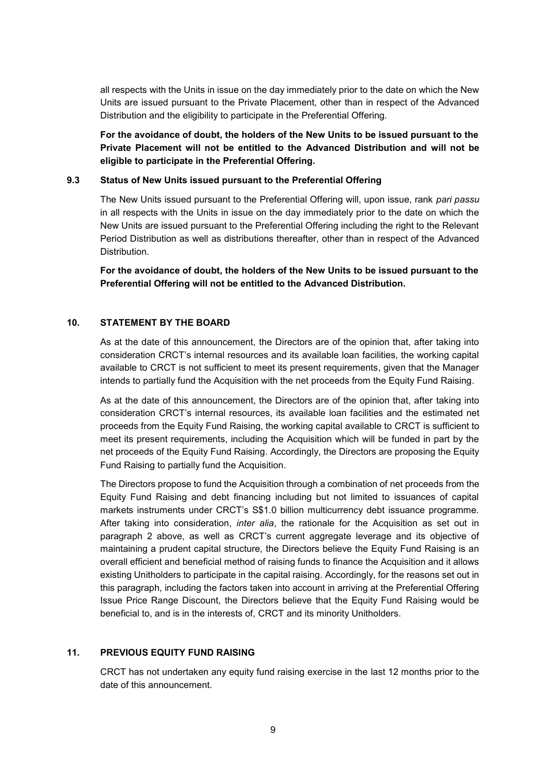all respects with the Units in issue on the day immediately prior to the date on which the New Units are issued pursuant to the Private Placement, other than in respect of the Advanced Distribution and the eligibility to participate in the Preferential Offering.

**For the avoidance of doubt, the holders of the New Units to be issued pursuant to the Private Placement will not be entitled to the Advanced Distribution and will not be eligible to participate in the Preferential Offering.**

#### **9.3 Status of New Units issued pursuant to the Preferential Offering**

The New Units issued pursuant to the Preferential Offering will, upon issue, rank *pari passu* in all respects with the Units in issue on the day immediately prior to the date on which the New Units are issued pursuant to the Preferential Offering including the right to the Relevant Period Distribution as well as distributions thereafter, other than in respect of the Advanced **Distribution** 

**For the avoidance of doubt, the holders of the New Units to be issued pursuant to the Preferential Offering will not be entitled to the Advanced Distribution.**

#### **10. STATEMENT BY THE BOARD**

As at the date of this announcement, the Directors are of the opinion that, after taking into consideration CRCT's internal resources and its available loan facilities, the working capital available to CRCT is not sufficient to meet its present requirements, given that the Manager intends to partially fund the Acquisition with the net proceeds from the Equity Fund Raising.

As at the date of this announcement, the Directors are of the opinion that, after taking into consideration CRCT's internal resources, its available loan facilities and the estimated net proceeds from the Equity Fund Raising, the working capital available to CRCT is sufficient to meet its present requirements, including the Acquisition which will be funded in part by the net proceeds of the Equity Fund Raising. Accordingly, the Directors are proposing the Equity Fund Raising to partially fund the Acquisition.

The Directors propose to fund the Acquisition through a combination of net proceeds from the Equity Fund Raising and debt financing including but not limited to issuances of capital markets instruments under CRCT's S\$1.0 billion multicurrency debt issuance programme. After taking into consideration, *inter alia*, the rationale for the Acquisition as set out in paragraph 2 above, as well as CRCT's current aggregate leverage and its objective of maintaining a prudent capital structure, the Directors believe the Equity Fund Raising is an overall efficient and beneficial method of raising funds to finance the Acquisition and it allows existing Unitholders to participate in the capital raising. Accordingly, for the reasons set out in this paragraph, including the factors taken into account in arriving at the Preferential Offering Issue Price Range Discount, the Directors believe that the Equity Fund Raising would be beneficial to, and is in the interests of, CRCT and its minority Unitholders.

#### **11. PREVIOUS EQUITY FUND RAISING**

CRCT has not undertaken any equity fund raising exercise in the last 12 months prior to the date of this announcement.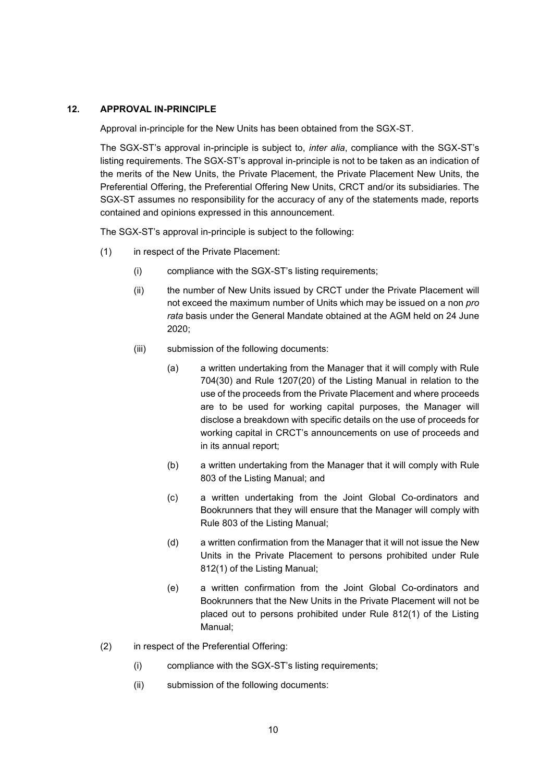#### **12. APPROVAL IN-PRINCIPLE**

Approval in-principle for the New Units has been obtained from the SGX-ST.

The SGX-ST's approval in-principle is subject to, *inter alia*, compliance with the SGX-ST's listing requirements. The SGX-ST's approval in-principle is not to be taken as an indication of the merits of the New Units, the Private Placement, the Private Placement New Units, the Preferential Offering, the Preferential Offering New Units, CRCT and/or its subsidiaries. The SGX-ST assumes no responsibility for the accuracy of any of the statements made, reports contained and opinions expressed in this announcement.

The SGX-ST's approval in-principle is subject to the following:

- (1) in respect of the Private Placement:
	- (i) compliance with the SGX-ST's listing requirements;
	- (ii) the number of New Units issued by CRCT under the Private Placement will not exceed the maximum number of Units which may be issued on a non *pro rata* basis under the General Mandate obtained at the AGM held on 24 June 2020;
	- (iii) submission of the following documents:
		- (a) a written undertaking from the Manager that it will comply with Rule 704(30) and Rule 1207(20) of the Listing Manual in relation to the use of the proceeds from the Private Placement and where proceeds are to be used for working capital purposes, the Manager will disclose a breakdown with specific details on the use of proceeds for working capital in CRCT's announcements on use of proceeds and in its annual report;
		- (b) a written undertaking from the Manager that it will comply with Rule 803 of the Listing Manual; and
		- (c) a written undertaking from the Joint Global Co-ordinators and Bookrunners that they will ensure that the Manager will comply with Rule 803 of the Listing Manual;
		- (d) a written confirmation from the Manager that it will not issue the New Units in the Private Placement to persons prohibited under Rule 812(1) of the Listing Manual;
		- (e) a written confirmation from the Joint Global Co-ordinators and Bookrunners that the New Units in the Private Placement will not be placed out to persons prohibited under Rule 812(1) of the Listing Manual;
- (2) in respect of the Preferential Offering:
	- (i) compliance with the SGX-ST's listing requirements;
	- (ii) submission of the following documents: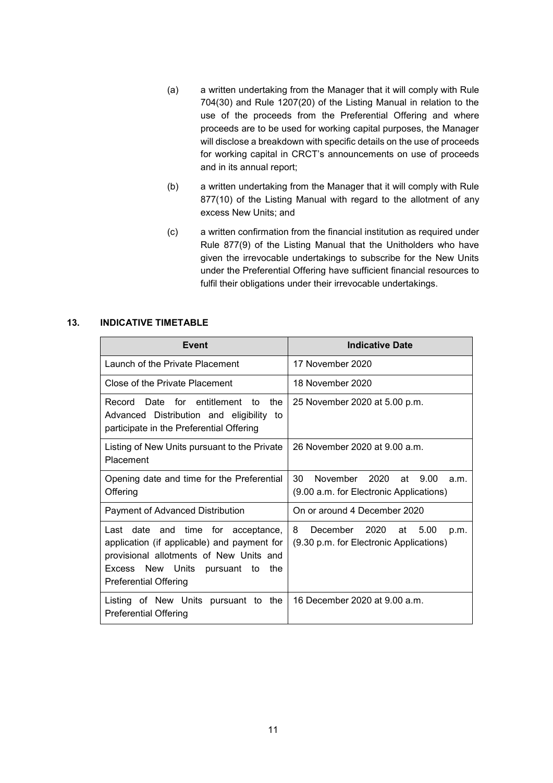- (a) a written undertaking from the Manager that it will comply with Rule 704(30) and Rule 1207(20) of the Listing Manual in relation to the use of the proceeds from the Preferential Offering and where proceeds are to be used for working capital purposes, the Manager will disclose a breakdown with specific details on the use of proceeds for working capital in CRCT's announcements on use of proceeds and in its annual report;
- (b) a written undertaking from the Manager that it will comply with Rule 877(10) of the Listing Manual with regard to the allotment of any excess New Units; and
- (c) a written confirmation from the financial institution as required under Rule 877(9) of the Listing Manual that the Unitholders who have given the irrevocable undertakings to subscribe for the New Units under the Preferential Offering have sufficient financial resources to fulfil their obligations under their irrevocable undertakings.

### **13. INDICATIVE TIMETABLE**

| Event                                                                                                                                                                                                  | <b>Indicative Date</b>                                                               |
|--------------------------------------------------------------------------------------------------------------------------------------------------------------------------------------------------------|--------------------------------------------------------------------------------------|
| Launch of the Private Placement                                                                                                                                                                        | 17 November 2020                                                                     |
| Close of the Private Placement                                                                                                                                                                         | 18 November 2020                                                                     |
| Record Date for entitlement<br>the<br>to<br>Advanced Distribution and eligibility to<br>participate in the Preferential Offering                                                                       | 25 November 2020 at 5.00 p.m.                                                        |
| Listing of New Units pursuant to the Private<br>Placement                                                                                                                                              | 26 November 2020 at 9.00 a.m.                                                        |
| Opening date and time for the Preferential<br>Offering                                                                                                                                                 | 30<br>November 2020<br>9.00<br>at<br>a.m.<br>(9.00 a.m. for Electronic Applications) |
| Payment of Advanced Distribution                                                                                                                                                                       | On or around 4 December 2020                                                         |
| Last date and time for acceptance,<br>application (if applicable) and payment for<br>provisional allotments of New Units and<br>Excess New Units<br>pursuant to<br>the<br><b>Preferential Offering</b> | December 2020<br>8.<br>5.00<br>at<br>p.m.<br>(9.30 p.m. for Electronic Applications) |
| Listing of New Units pursuant to the<br><b>Preferential Offering</b>                                                                                                                                   | 16 December 2020 at 9.00 a.m.                                                        |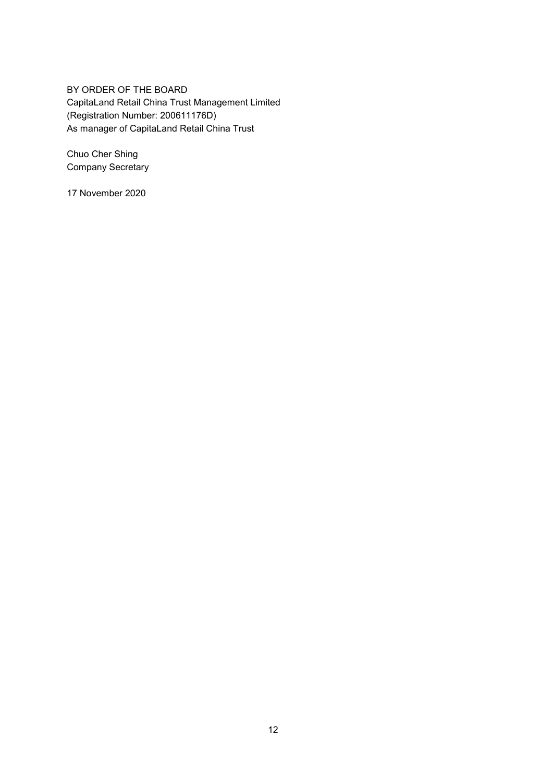BY ORDER OF THE BOARD CapitaLand Retail China Trust Management Limited (Registration Number: 200611176D) As manager of CapitaLand Retail China Trust

Chuo Cher Shing Company Secretary

17 November 2020